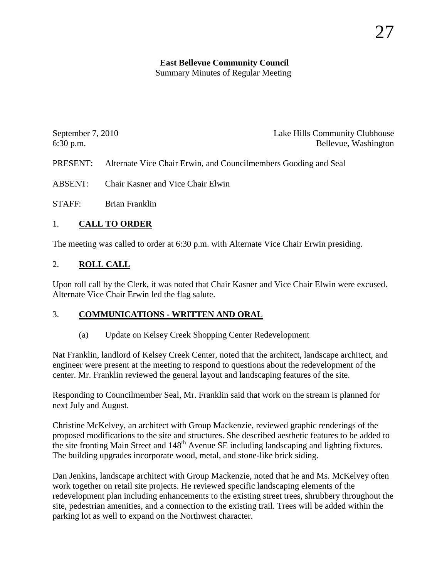# **East Bellevue Community Council**

Summary Minutes of Regular Meeting

| September 7, 2010 | Lake Hills Community Clubhouse |
|-------------------|--------------------------------|
| $6:30$ p.m.       | Bellevue, Washington           |

PRESENT: Alternate Vice Chair Erwin, and Councilmembers Gooding and Seal

ABSENT: Chair Kasner and Vice Chair Elwin

STAFF: Brian Franklin

# 1. **CALL TO ORDER**

The meeting was called to order at 6:30 p.m. with Alternate Vice Chair Erwin presiding.

# 2. **ROLL CALL**

Upon roll call by the Clerk, it was noted that Chair Kasner and Vice Chair Elwin were excused. Alternate Vice Chair Erwin led the flag salute.

#### 3. **COMMUNICATIONS - WRITTEN AND ORAL**

(a) Update on Kelsey Creek Shopping Center Redevelopment

Nat Franklin, landlord of Kelsey Creek Center, noted that the architect, landscape architect, and engineer were present at the meeting to respond to questions about the redevelopment of the center. Mr. Franklin reviewed the general layout and landscaping features of the site.

Responding to Councilmember Seal, Mr. Franklin said that work on the stream is planned for next July and August.

Christine McKelvey, an architect with Group Mackenzie, reviewed graphic renderings of the proposed modifications to the site and structures. She described aesthetic features to be added to the site fronting Main Street and 148<sup>th</sup> Avenue SE including landscaping and lighting fixtures. The building upgrades incorporate wood, metal, and stone-like brick siding.

Dan Jenkins, landscape architect with Group Mackenzie, noted that he and Ms. McKelvey often work together on retail site projects. He reviewed specific landscaping elements of the redevelopment plan including enhancements to the existing street trees, shrubbery throughout the site, pedestrian amenities, and a connection to the existing trail. Trees will be added within the parking lot as well to expand on the Northwest character.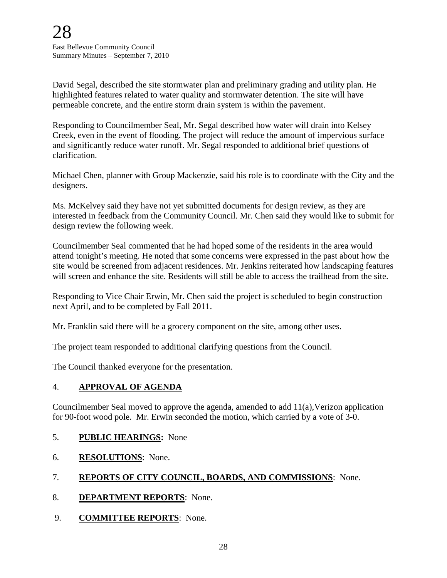David Segal, described the site stormwater plan and preliminary grading and utility plan. He highlighted features related to water quality and stormwater detention. The site will have permeable concrete, and the entire storm drain system is within the pavement.

Responding to Councilmember Seal, Mr. Segal described how water will drain into Kelsey Creek, even in the event of flooding. The project will reduce the amount of impervious surface and significantly reduce water runoff. Mr. Segal responded to additional brief questions of clarification.

Michael Chen, planner with Group Mackenzie, said his role is to coordinate with the City and the designers.

Ms. McKelvey said they have not yet submitted documents for design review, as they are interested in feedback from the Community Council. Mr. Chen said they would like to submit for design review the following week.

Councilmember Seal commented that he had hoped some of the residents in the area would attend tonight's meeting. He noted that some concerns were expressed in the past about how the site would be screened from adjacent residences. Mr. Jenkins reiterated how landscaping features will screen and enhance the site. Residents will still be able to access the trailhead from the site.

Responding to Vice Chair Erwin, Mr. Chen said the project is scheduled to begin construction next April, and to be completed by Fall 2011.

Mr. Franklin said there will be a grocery component on the site, among other uses.

The project team responded to additional clarifying questions from the Council.

The Council thanked everyone for the presentation.

#### 4. **APPROVAL OF AGENDA**

Councilmember Seal moved to approve the agenda, amended to add 11(a),Verizon application for 90-foot wood pole. Mr. Erwin seconded the motion, which carried by a vote of 3-0.

- 5. **PUBLIC HEARINGS:** None
- 6. **RESOLUTIONS**: None.

# 7. **REPORTS OF CITY COUNCIL, BOARDS, AND COMMISSIONS**: None.

- 8. **DEPARTMENT REPORTS**: None.
- 9. **COMMITTEE REPORTS**: None.